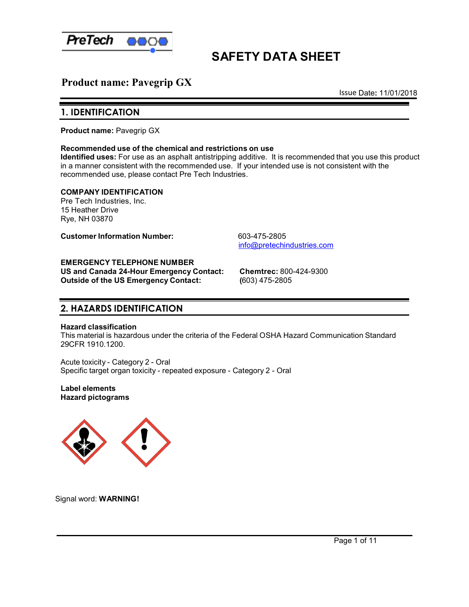

# **SAFETY DATA SHEET**

# **Product name: Pavegrip GX**

Issue Date**:** 11/01/2018

### **1. IDENTIFICATION**

**Product name:** Pavegrip GX

#### **Recommended use of the chemical and restrictions on use**

**Identified uses:** For use as an asphalt antistripping additive. It is recommended that you use this product in a manner consistent with the recommended use. If your intended use is not consistent with the recommended use, please contact Pre Tech Industries.

**COMPANY IDENTIFICATION** Pre Tech Industries, Inc. 15 Heather Drive

Rye, NH 03870

**Customer Information Number:** 603-475-2805

[info@pretechindustries.com](mailto:info@pretechindustries.com)

#### **EMERGENCY TELEPHONE NUMBER**

**US and Canada 24-Hour Emergency Contact: Chemtrec:** 800-424-9300 **Outside of the US Emergency Contact:** 

### **2. HAZARDS IDENTIFICATION**

#### **Hazard classification**

This material is hazardous under the criteria of the Federal OSHA Hazard Communication Standard 29CFR 1910.1200.

Acute toxicity - Category 2 - Oral Specific target organ toxicity - repeated exposure - Category 2 - Oral

**Label elements Hazard pictograms**



Signal word: **WARNING!**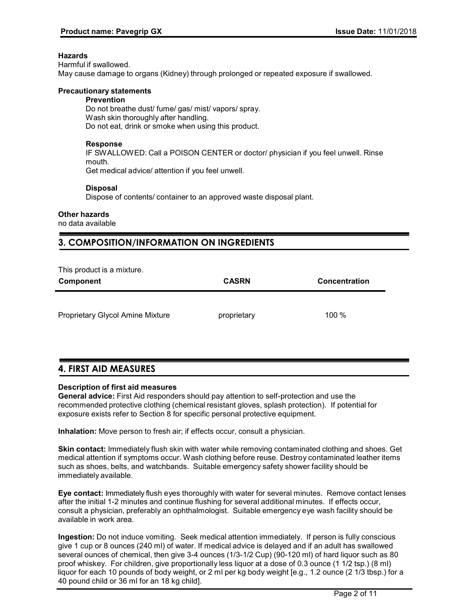#### **Hazards**

Harmful if swallowed. May cause damage to organs (Kidney) through prolonged or repeated exposure if swallowed.

#### **Precautionary statements**

#### **Prevention** Do not breathe dust/ fume/ gas/ mist/ vapors/ spray. Wash skin thoroughly after handling.

Do not eat, drink or smoke when using this product.

#### **Response**

IF SWALLOWED: Call a POISON CENTER or doctor/ physician if you feel unwell. Rinse mouth.

Get medical advice/ attention if you feel unwell.

#### **Disposal**

Dispose of contents/ container to an approved waste disposal plant.

#### **Other hazards**

no data available

# **3. COMPOSITION/INFORMATION ON INGREDIENTS**

This product is a mixture.

| Component                        | <b>CASRN</b> | <b>Concentration</b> |
|----------------------------------|--------------|----------------------|
|                                  |              |                      |
| Proprietary Glycol Amine Mixture | proprietary  | 100 %                |

# **4. FIRST AID MEASURES**

#### **Description of first aid measures**

**General advice:** First Aid responders should pay attention to self-protection and use the recommended protective clothing (chemical resistant gloves, splash protection). If potential for exposure exists refer to Section 8 for specific personal protective equipment.

**Inhalation:** Move person to fresh air; if effects occur, consult a physician.

**Skin contact:** Immediately flush skin with water while removing contaminated clothing and shoes. Get medical attention if symptoms occur. Wash clothing before reuse. Destroy contaminated leather items such as shoes, belts, and watchbands. Suitable emergency safety shower facility should be immediately available.

**Eye contact:** Immediately flush eyes thoroughly with water for several minutes. Remove contact lenses after the initial 1-2 minutes and continue flushing for several additional minutes. If effects occur, consult a physician, preferably an ophthalmologist. Suitable emergency eye wash facility should be available in work area.

**Ingestion:** Do not induce vomiting. Seek medical attention immediately. If person is fully conscious give 1 cup or 8 ounces (240 ml) of water. If medical advice is delayed and if an adult has swallowed several ounces of chemical, then give 3-4 ounces (1/3-1/2 Cup) (90-120 ml) of hard liquor such as 80 proof whiskey. For children, give proportionally less liquor at a dose of 0.3 ounce (1 1/2 tsp.) (8 ml) liquor for each 10 pounds of body weight, or 2 ml per kg body weight [e.g., 1.2 ounce (2 1/3 tbsp.) for a 40 pound child or 36 ml for an 18 kg child].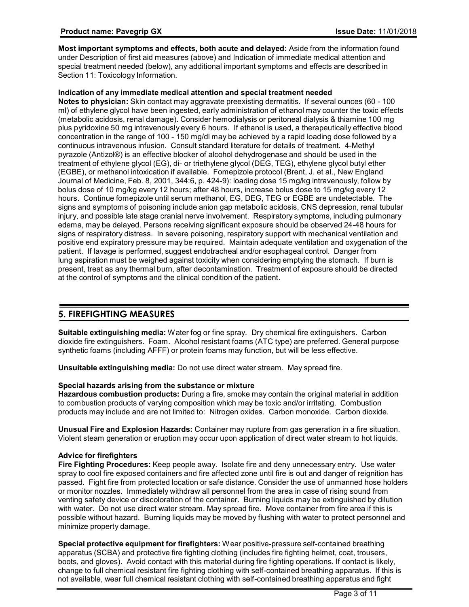**Most important symptoms and effects, both acute and delayed:** Aside from the information found under Description of first aid measures (above) and Indication of immediate medical attention and special treatment needed (below), any additional important symptoms and effects are described in Section 11: Toxicology Information.

#### **Indication of any immediate medical attention and special treatment needed**

**Notes to physician:** Skin contact may aggravate preexisting dermatitis. If several ounces (60 - 100 ml) of ethylene glycol have been ingested, early administration of ethanol may counter the toxic effects (metabolic acidosis, renal damage). Consider hemodialysis or peritoneal dialysis & thiamine 100 mg plus pyridoxine 50 mg intravenously every 6 hours. If ethanol is used, a therapeutically effective blood concentration in the range of 100 - 150 mg/dl may be achieved by a rapid loading dose followed by a continuous intravenous infusion. Consult standard literature for details of treatment. 4-Methyl pyrazole (Antizol®) is an effective blocker of alcohol dehydrogenase and should be used in the treatment of ethylene glycol (EG), di- or triethylene glycol (DEG, TEG), ethylene glycol butyl ether (EGBE), or methanol intoxication if available. Fomepizole protocol (Brent, J. et al., New England Journal of Medicine, Feb. 8, 2001, 344:6, p. 424-9): loading dose 15 mg/kg intravenously, follow by bolus dose of 10 mg/kg every 12 hours; after 48 hours, increase bolus dose to 15 mg/kg every 12 hours. Continue fomepizole until serum methanol, EG, DEG, TEG or EGBE are undetectable. The signs and symptoms of poisoning include anion gap metabolic acidosis, CNS depression, renal tubular injury, and possible late stage cranial nerve involvement. Respiratory symptoms, including pulmonary edema, may be delayed. Persons receiving significant exposure should be observed 24-48 hours for signs of respiratory distress. In severe poisoning, respiratory support with mechanical ventilation and positive end expiratory pressure may be required. Maintain adequate ventilation and oxygenation of the patient. If lavage is performed, suggest endotracheal and/or esophageal control. Danger from lung aspiration must be weighed against toxicity when considering emptying the stomach. If burn is present, treat as any thermal burn, after decontamination. Treatment of exposure should be directed at the control of symptoms and the clinical condition of the patient.

# **5. FIREFIGHTING MEASURES**

**Suitable extinguishing media:** Water fog or fine spray. Dry chemical fire extinguishers. Carbon dioxide fire extinguishers. Foam. Alcohol resistant foams (ATC type) are preferred. General purpose synthetic foams (including AFFF) or protein foams may function, but will be less effective.

**Unsuitable extinguishing media:** Do not use direct water stream. May spread fire.

#### **Special hazards arising from the substance or mixture**

**Hazardous combustion products:** During a fire, smoke may contain the original material in addition to combustion products of varying composition which may be toxic and/or irritating. Combustion products may include and are not limited to: Nitrogen oxides. Carbon monoxide. Carbon dioxide.

**Unusual Fire and Explosion Hazards:** Container may rupture from gas generation in a fire situation. Violent steam generation or eruption may occur upon application of direct water stream to hot liquids.

#### **Advice for firefighters**

**Fire Fighting Procedures:** Keep people away. Isolate fire and deny unnecessary entry. Use water spray to cool fire exposed containers and fire affected zone until fire is out and danger of reignition has passed. Fight fire from protected location or safe distance. Consider the use of unmanned hose holders or monitor nozzles. Immediately withdraw all personnel from the area in case of rising sound from venting safety device or discoloration of the container. Burning liquids may be extinguished by dilution with water. Do not use direct water stream. May spread fire. Move container from fire area if this is possible without hazard. Burning liquids may be moved by flushing with water to protect personnel and minimize property damage.

**Special protective equipment for firefighters:** Wear positive-pressure self-contained breathing apparatus (SCBA) and protective fire fighting clothing (includes fire fighting helmet, coat, trousers, boots, and gloves). Avoid contact with this material during fire fighting operations. If contact is likely, change to full chemical resistant fire fighting clothing with self-contained breathing apparatus. If this is not available, wear full chemical resistant clothing with self-contained breathing apparatus and fight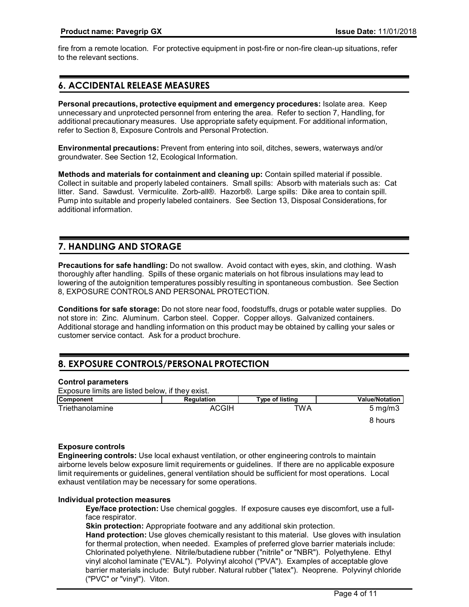fire from a remote location. For protective equipment in post-fire or non-fire clean-up situations, refer to the relevant sections.

# **6. ACCIDENTAL RELEASE MEASURES**

**Personal precautions, protective equipment and emergency procedures:** Isolate area. Keep unnecessary and unprotected personnel from entering the area. Refer to section 7, Handling, for additional precautionary measures. Use appropriate safety equipment. For additional information, refer to Section 8, Exposure Controls and Personal Protection.

**Environmental precautions:** Prevent from entering into soil, ditches, sewers, waterways and/or groundwater. See Section 12, Ecological Information.

**Methods and materials for containment and cleaning up:** Contain spilled material if possible. Collect in suitable and properly labeled containers. Small spills: Absorb with materials such as: Cat litter. Sand. Sawdust. Vermiculite. Zorb-all®. Hazorb®. Large spills: Dike area to contain spill. Pump into suitable and properly labeled containers. See Section 13, Disposal Considerations, for additional information.

# **7. HANDLING AND STORAGE**

**Precautions for safe handling:** Do not swallow. Avoid contact with eyes, skin, and clothing. Wash thoroughly after handling. Spills of these organic materials on hot fibrous insulations may lead to lowering of the autoignition temperatures possibly resulting in spontaneous combustion. See Section 8, EXPOSURE CONTROLS AND PERSONAL PROTECTION.

**Conditions for safe storage:** Do not store near food, foodstuffs, drugs or potable water supplies. Do not store in: Zinc. Aluminum. Carbon steel. Copper. Copper alloys. Galvanized containers. Additional storage and handling information on this product may be obtained by calling your sales or customer service contact. Ask for a product brochure.

# **8. EXPOSURE CONTROLS/PERSONAL PROTECTION**

#### **Control parameters**

| Exposure limits are listed below, if they exist. |              |                 |                       |
|--------------------------------------------------|--------------|-----------------|-----------------------|
| <b>Component</b>                                 | Regulation   | Type of listing | <b>Value/Notation</b> |
| Triethanolamine                                  | <b>ACGIH</b> | <b>TWA</b>      | $5 \,\mathrm{mq/m}$   |
|                                                  |              |                 | 8 hours               |

#### **Exposure controls**

**Engineering controls:** Use local exhaust ventilation, or other engineering controls to maintain airborne levels below exposure limit requirements or guidelines. If there are no applicable exposure limit requirements or guidelines, general ventilation should be sufficient for most operations. Local exhaust ventilation may be necessary for some operations.

#### **Individual protection measures**

**Eye/face protection:** Use chemical goggles. If exposure causes eye discomfort, use a fullface respirator.

**Skin protection:** Appropriate footware and any additional skin protection.

**Hand protection:** Use gloves chemically resistant to this material. Use gloves with insulation for thermal protection, when needed. Examples of preferred glove barrier materials include: Chlorinated polyethylene. Nitrile/butadiene rubber ("nitrile" or "NBR"). Polyethylene. Ethyl vinyl alcohol laminate ("EVAL"). Polyvinyl alcohol ("PVA"). Examples of acceptable glove barrier materials include: Butyl rubber. Natural rubber ("latex"). Neoprene. Polyvinyl chloride ("PVC" or "vinyl"). Viton.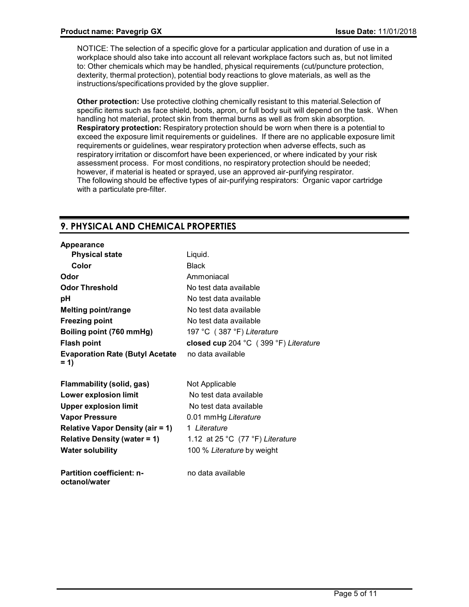NOTICE: The selection of a specific glove for a particular application and duration of use in a workplace should also take into account all relevant workplace factors such as, but not limited to: Other chemicals which may be handled, physical requirements (cut/puncture protection, dexterity, thermal protection), potential body reactions to glove materials, as well as the instructions/specifications provided by the glove supplier.

**Other protection:** Use protective clothing chemically resistant to this material.Selection of specific items such as face shield, boots, apron, or full body suit will depend on the task. When handling hot material, protect skin from thermal burns as well as from skin absorption. **Respiratory protection:** Respiratory protection should be worn when there is a potential to exceed the exposure limit requirements or guidelines. If there are no applicable exposure limit requirements or guidelines, wear respiratory protection when adverse effects, such as respiratory irritation or discomfort have been experienced, or where indicated by your risk assessment process. For most conditions, no respiratory protection should be needed; however, if material is heated or sprayed, use an approved air-purifying respirator. The following should be effective types of air-purifying respirators: Organic vapor cartridge with a particulate pre-filter.

# **9. PHYSICAL AND CHEMICAL PROPERTIES**

| Appearance                                        |                                       |
|---------------------------------------------------|---------------------------------------|
| <b>Physical state</b>                             | Liquid.                               |
| Color                                             | <b>Black</b>                          |
| Odor                                              | Ammoniacal                            |
| <b>Odor Threshold</b>                             | No test data available                |
| рH                                                | No test data available                |
| <b>Melting point/range</b>                        | No test data available                |
| <b>Freezing point</b>                             | No test data available                |
| Boiling point (760 mmHg)                          | 197 °C (387 °F) Literature            |
| <b>Flash point</b>                                | closed cup 204 °C (399 °F) Literature |
| <b>Evaporation Rate (Butyl Acetate</b><br>$= 1$   | no data available                     |
| Flammability (solid, gas)                         | Not Applicable                        |
| Lower explosion limit                             | No test data available                |
| <b>Upper explosion limit</b>                      | No test data available                |
| <b>Vapor Pressure</b>                             | 0.01 mmHg Literature                  |
| <b>Relative Vapor Density (air = 1)</b>           | 1 Literature                          |
| <b>Relative Density (water = 1)</b>               | 1.12 at 25 °C (77 °F) Literature      |
| <b>Water solubility</b>                           | 100 % Literature by weight            |
| <b>Partition coefficient: n-</b><br>octanol/water | no data available                     |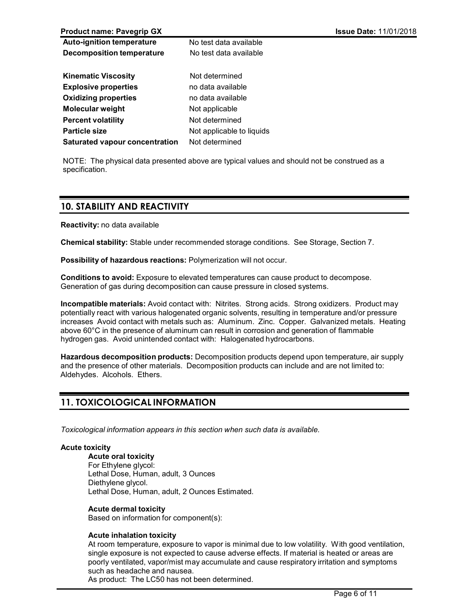| <b>Product name: Pavegrip GX</b>      |                           | <b>Issue Date: 11/01/2018</b> |
|---------------------------------------|---------------------------|-------------------------------|
| <b>Auto-ignition temperature</b>      | No test data available    |                               |
| <b>Decomposition temperature</b>      | No test data available    |                               |
| <b>Kinematic Viscosity</b>            | Not determined            |                               |
| <b>Explosive properties</b>           | no data available         |                               |
| <b>Oxidizing properties</b>           | no data available         |                               |
| <b>Molecular weight</b>               | Not applicable            |                               |
| <b>Percent volatility</b>             | Not determined            |                               |
| <b>Particle size</b>                  | Not applicable to liquids |                               |
| <b>Saturated vapour concentration</b> | Not determined            |                               |

NOTE: The physical data presented above are typical values and should not be construed as a specification.

### **10. STABILITY AND REACTIVITY**

**Reactivity:** no data available

**Chemical stability:** Stable under recommended storage conditions. See Storage, Section 7.

**Possibility of hazardous reactions:** Polymerization will not occur.

**Conditions to avoid:** Exposure to elevated temperatures can cause product to decompose. Generation of gas during decomposition can cause pressure in closed systems.

**Incompatible materials:** Avoid contact with: Nitrites. Strong acids. Strong oxidizers. Product may potentially react with various halogenated organic solvents, resulting in temperature and/or pressure increases Avoid contact with metals such as: Aluminum. Zinc. Copper. Galvanized metals. Heating above 60°C in the presence of aluminum can result in corrosion and generation of flammable hydrogen gas. Avoid unintended contact with: Halogenated hydrocarbons.

**Hazardous decomposition products:** Decomposition products depend upon temperature, air supply and the presence of other materials. Decomposition products can include and are not limited to: Aldehydes. Alcohols. Ethers.

# **11. TOXICOLOGICAL INFORMATION**

*Toxicological information appears in this section when such data is available.*

#### **Acute toxicity**

**Acute oral toxicity** For Ethylene glycol: Lethal Dose, Human, adult, 3 Ounces Diethylene glycol. Lethal Dose, Human, adult, 2 Ounces Estimated.

#### **Acute dermal toxicity**

Based on information for component(s):

#### **Acute inhalation toxicity**

At room temperature, exposure to vapor is minimal due to low volatility. With good ventilation, single exposure is not expected to cause adverse effects. If material is heated or areas are poorly ventilated, vapor/mist may accumulate and cause respiratory irritation and symptoms such as headache and nausea.

As product: The LC50 has not been determined.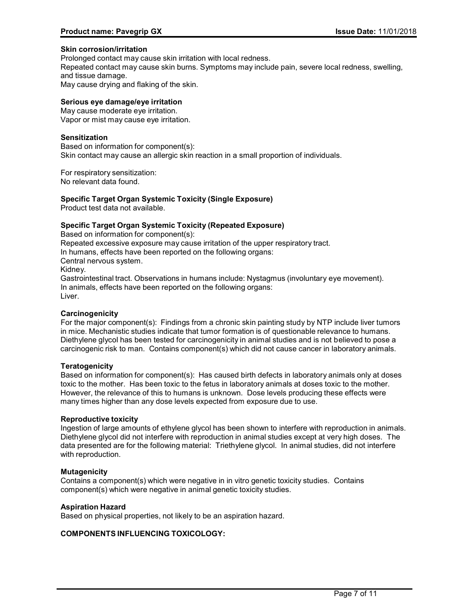#### **Skin corrosion/irritation**

Prolonged contact may cause skin irritation with local redness.

Repeated contact may cause skin burns. Symptoms may include pain, severe local redness, swelling, and tissue damage.

May cause drying and flaking of the skin.

#### **Serious eye damage/eye irritation**

May cause moderate eye irritation. Vapor or mist may cause eye irritation.

#### **Sensitization**

Based on information for component(s): Skin contact may cause an allergic skin reaction in a small proportion of individuals.

For respiratory sensitization: No relevant data found.

#### **Specific Target Organ Systemic Toxicity (Single Exposure)**

Product test data not available.

#### **Specific Target Organ Systemic Toxicity (Repeated Exposure)**

Based on information for component(s): Repeated excessive exposure may cause irritation of the upper respiratory tract. In humans, effects have been reported on the following organs: Central nervous system. Kidney. Gastrointestinal tract. Observations in humans include: Nystagmus (involuntary eye movement). In animals, effects have been reported on the following organs: Liver.

#### **Carcinogenicity**

For the major component(s): Findings from a chronic skin painting study by NTP include liver tumors in mice. Mechanistic studies indicate that tumor formation is of questionable relevance to humans. Diethylene glycol has been tested for carcinogenicity in animal studies and is not believed to pose a carcinogenic risk to man. Contains component(s) which did not cause cancer in laboratory animals.

#### **Teratogenicity**

Based on information for component(s): Has caused birth defects in laboratory animals only at doses toxic to the mother. Has been toxic to the fetus in laboratory animals at doses toxic to the mother. However, the relevance of this to humans is unknown. Dose levels producing these effects were many times higher than any dose levels expected from exposure due to use.

#### **Reproductive toxicity**

Ingestion of large amounts of ethylene glycol has been shown to interfere with reproduction in animals. Diethylene glycol did not interfere with reproduction in animal studies except at very high doses. The data presented are for the following material: Triethylene glycol. In animal studies, did not interfere with reproduction.

#### **Mutagenicity**

Contains a component(s) which were negative in in vitro genetic toxicity studies. Contains component(s) which were negative in animal genetic toxicity studies.

#### **Aspiration Hazard**

Based on physical properties, not likely to be an aspiration hazard.

#### **COMPONENTS INFLUENCING TOXICOLOGY:**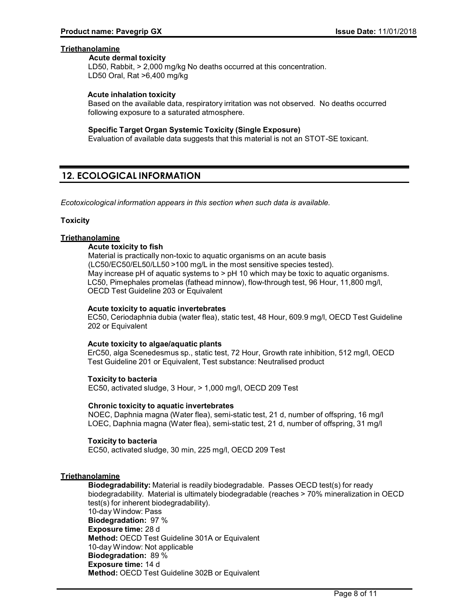#### **Triethanolamine**

#### **Acute dermal toxicity**

LD50, Rabbit, > 2,000 mg/kg No deaths occurred at this concentration. LD50 Oral, Rat >6,400 mg/kg

#### **Acute inhalation toxicity**

Based on the available data, respiratory irritation was not observed. No deaths occurred following exposure to a saturated atmosphere.

#### **Specific Target Organ Systemic Toxicity (Single Exposure)**

Evaluation of available data suggests that this material is not an STOT-SE toxicant.

### **12. ECOLOGICAL INFORMATION**

*Ecotoxicological information appears in this section when such data is available.*

#### **Toxicity**

### **Triethanolamine**

#### **Acute toxicity to fish**

Material is practically non-toxic to aquatic organisms on an acute basis (LC50/EC50/EL50/LL50 >100 mg/L in the most sensitive species tested). May increase pH of aquatic systems to > pH 10 which may be toxic to aquatic organisms. LC50, Pimephales promelas (fathead minnow), flow-through test, 96 Hour, 11,800 mg/l, OECD Test Guideline 203 or Equivalent

#### **Acute toxicity to aquatic invertebrates**

EC50, Ceriodaphnia dubia (water flea), static test, 48 Hour, 609.9 mg/l, OECD Test Guideline 202 or Equivalent

#### **Acute toxicity to algae/aquatic plants**

ErC50, alga Scenedesmus sp., static test, 72 Hour, Growth rate inhibition, 512 mg/l, OECD Test Guideline 201 or Equivalent, Test substance: Neutralised product

**Toxicity to bacteria** EC50, activated sludge, 3 Hour, > 1,000 mg/l, OECD 209 Test

#### **Chronic toxicity to aquatic invertebrates**

NOEC, Daphnia magna (Water flea), semi-static test, 21 d, number of offspring, 16 mg/l LOEC, Daphnia magna (Water flea), semi-static test, 21 d, number of offspring, 31 mg/l

#### **Toxicity to bacteria**

EC50, activated sludge, 30 min, 225 mg/l, OECD 209 Test

#### **Triethanolamine**

**Biodegradability:** Material is readily biodegradable. Passes OECD test(s) for ready biodegradability. Material is ultimately biodegradable (reaches > 70% mineralization in OECD test(s) for inherent biodegradability). 10-day Window: Pass **Biodegradation:** 97 % **Exposure time:** 28 d **Method:** OECD Test Guideline 301A or Equivalent 10-day Window: Not applicable **Biodegradation:** 89 % **Exposure time:** 14 d **Method:** OECD Test Guideline 302B or Equivalent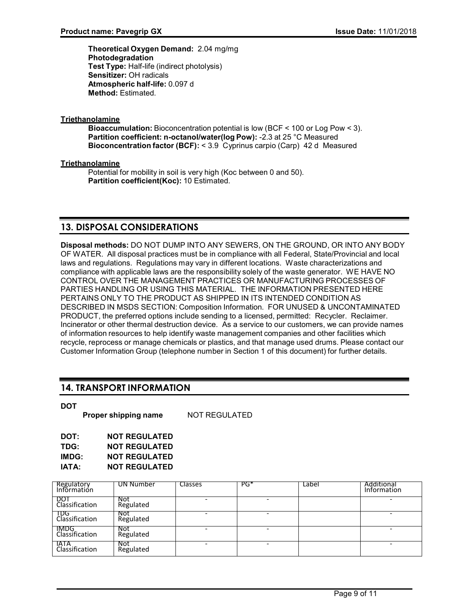**Theoretical Oxygen Demand:** 2.04 mg/mg **Photodegradation Test Type:** Half-life (indirect photolysis) **Sensitizer:** OH radicals **Atmospheric half-life:** 0.097 d **Method:** Estimated.

### **Triethanolamine**

**Bioaccumulation:** Bioconcentration potential is low (BCF < 100 or Log Pow < 3). **Partition coefficient: n-octanol/water(log Pow):** -2.3 at 25 °C Measured **Bioconcentration factor (BCF):** < 3.9 Cyprinus carpio (Carp) 42 d Measured

### **Triethanolamine**

Potential for mobility in soil is very high (Koc between 0 and 50). **Partition coefficient(Koc):** 10 Estimated.

# **13. DISPOSAL CONSIDERATIONS**

**Disposal methods:** DO NOT DUMP INTO ANY SEWERS, ON THE GROUND, OR INTO ANY BODY OF WATER. All disposal practices must be in compliance with all Federal, State/Provincial and local laws and regulations. Regulations may vary in different locations. Waste characterizations and compliance with applicable laws are the responsibility solely of the waste generator. WE HAVE NO CONTROL OVER THE MANAGEMENT PRACTICES OR MANUFACTURING PROCESSES OF PARTIES HANDLING OR USING THIS MATERIAL. THE INFORMATION PRESENTED HERE PERTAINS ONLY TO THE PRODUCT AS SHIPPED IN ITS INTENDED CONDITION AS DESCRIBED IN MSDS SECTION: Composition Information. FOR UNUSED & UNCONTAMINATED PRODUCT, the preferred options include sending to a licensed, permitted: Recycler. Reclaimer. Incinerator or other thermal destruction device. As a service to our customers, we can provide names of information resources to help identify waste management companies and other facilities which recycle, reprocess or manage chemicals or plastics, and that manage used drums. Please contact our Customer Information Group (telephone number in Section 1 of this document) for further details.

# **14. TRANSPORT INFORMATION**

**Proper shipping name** NOT REGULATED

| DOT:  | <b>NOT REGULATED</b> |
|-------|----------------------|
| TDG:  | <b>NOT REGULATED</b> |
| IMDG: | <b>NOT REGULATED</b> |
| IATA: | <b>NOT REGULATED</b> |

| Regulatory<br>Information    | UN Number        | <b>Classes</b> | $PG^*$ | Label | Additional<br>Information |
|------------------------------|------------------|----------------|--------|-------|---------------------------|
| <b>DO1</b><br>Classification | Not<br>Regulated |                |        |       |                           |
| TDG<br>Classification        | Not<br>Regulated |                |        |       |                           |
| IMDG.<br>Classification      | Not<br>Regulated |                |        |       |                           |
| IATA<br>Classification       | Not<br>Regulated |                |        |       | -                         |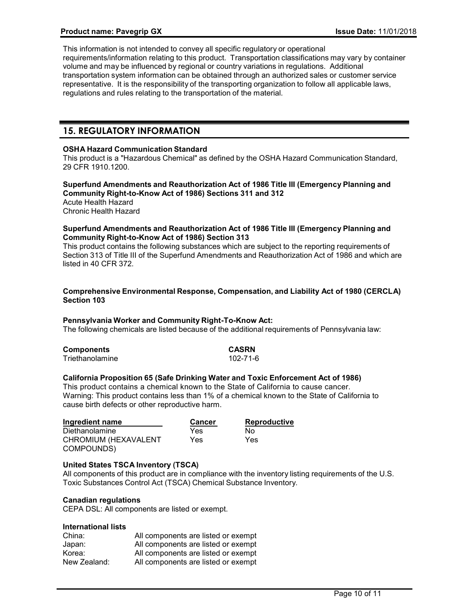This information is not intended to convey all specific regulatory or operational requirements/information relating to this product. Transportation classifications may vary by container volume and may be influenced by regional or country variations in regulations. Additional transportation system information can be obtained through an authorized sales or customer service representative. It is the responsibility of the transporting organization to follow all applicable laws, regulations and rules relating to the transportation of the material.

### **15. REGULATORY INFORMATION**

#### **OSHA Hazard Communication Standard**

This product is a "Hazardous Chemical" as defined by the OSHA Hazard Communication Standard, 29 CFR 1910.1200.

#### **Superfund Amendments and Reauthorization Act of 1986 Title III (Emergency Planning and Community Right-to-Know Act of 1986) Sections 311 and 312**

Acute Health Hazard Chronic Health Hazard

#### **Superfund Amendments and Reauthorization Act of 1986 Title III (Emergency Planning and Community Right-to-Know Act of 1986) Section 313**

This product contains the following substances which are subject to the reporting requirements of Section 313 of Title III of the Superfund Amendments and Reauthorization Act of 1986 and which are listed in 40 CFR 372.

#### **Comprehensive Environmental Response, Compensation, and Liability Act of 1980 (CERCLA) Section 103**

#### **Pennsylvania Worker and Community Right-To-Know Act:**

The following chemicals are listed because of the additional requirements of Pennsylvania law:

| <b>Components</b> | CASRN    |
|-------------------|----------|
| Triethanolamine   | 102-71-6 |

#### **California Proposition 65 (Safe Drinking Water and Toxic Enforcement Act of 1986)**

This product contains a chemical known to the State of California to cause cancer. Warning: This product contains less than 1% of a chemical known to the State of California to cause birth defects or other reproductive harm.

| Ingredient name      | <b>Cancer</b> | <b>Reproductive</b> |
|----------------------|---------------|---------------------|
| Diethanolamine       | Yes           | Nο                  |
| CHROMIUM (HEXAVALENT | Yes.          | Yes                 |
| COMPOUNDS)           |               |                     |

#### **United States TSCA Inventory (TSCA)**

All components of this product are in compliance with the inventory listing requirements of the U.S. Toxic Substances Control Act (TSCA) Chemical Substance Inventory.

#### **Canadian regulations**

CEPA DSL: All components are listed or exempt.

#### **International lists**

| China:       | All components are listed or exempt |
|--------------|-------------------------------------|
| Japan:       | All components are listed or exempt |
| Korea:       | All components are listed or exempt |
| New Zealand: | All components are listed or exempt |